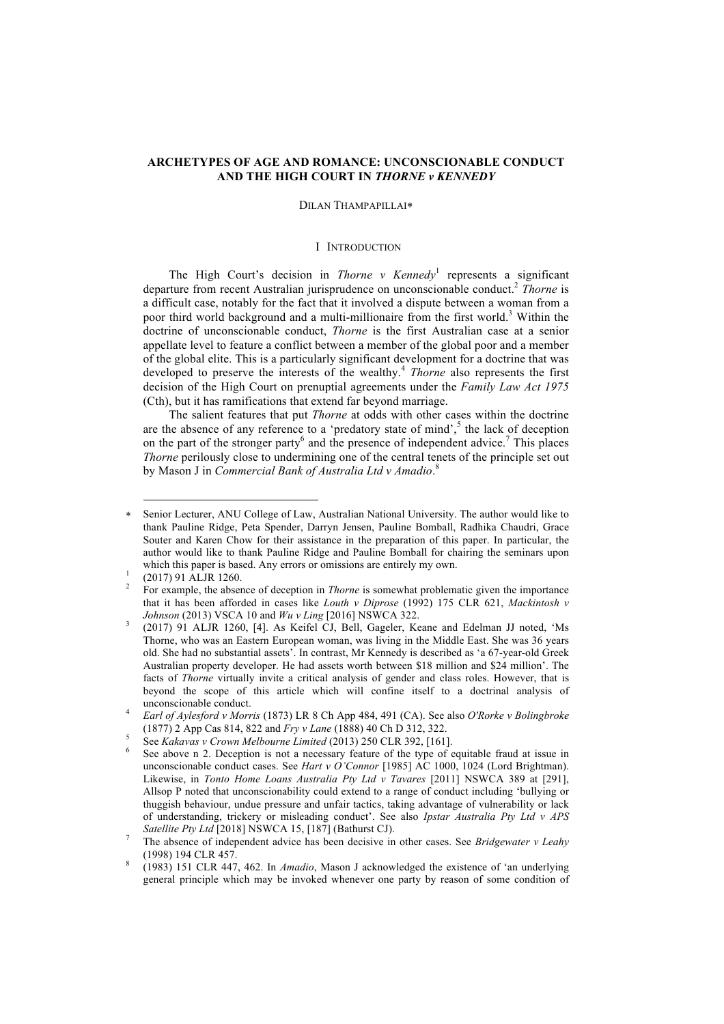# **ARCHETYPES OF AGE AND ROMANCE: UNCONSCIONABLE CONDUCT AND THE HIGH COURT IN** *THORNE v KENNEDY*

# DILAN THAMPAPILLAI\*

## I INTRODUCTION

The High Court's decision in *Thorne v Kennedy*<sup>1</sup> represents a significant departure from recent Australian jurisprudence on unconscionable conduct.<sup>2</sup> *Thorne* is a difficult case, notably for the fact that it involved a dispute between a woman from a poor third world background and a multi-millionaire from the first world.<sup>3</sup> Within the doctrine of unconscionable conduct, *Thorne* is the first Australian case at a senior appellate level to feature a conflict between a member of the global poor and a member of the global elite. This is a particularly significant development for a doctrine that was developed to preserve the interests of the wealthy.<sup>4</sup> *Thorne* also represents the first decision of the High Court on prenuptial agreements under the *Family Law Act 1975* (Cth), but it has ramifications that extend far beyond marriage.

The salient features that put *Thorne* at odds with other cases within the doctrine are the absence of any reference to a 'predatory state of mind',<sup>5</sup> the lack of deception on the part of the stronger party<sup>6</sup> and the presence of independent advice.<sup>7</sup> This places *Thorne* perilously close to undermining one of the central tenets of the principle set out by Mason J in *Commercial Bank of Australia Ltd v Amadio*. 8

 

Senior Lecturer, ANU College of Law, Australian National University. The author would like to thank Pauline Ridge, Peta Spender, Darryn Jensen, Pauline Bomball, Radhika Chaudri, Grace Souter and Karen Chow for their assistance in the preparation of this paper. In particular, the author would like to thank Pauline Ridge and Pauline Bomball for chairing the seminars upon

which this paper is based. Any errors or omissions are entirely my own.<br>
1 (2017) 91 ALJR 1260.<br>
2 For example, the absence of deception in *Thorne* is somewhat problematic given the importance that it has been afforded in cases like *Louth v Diprose* (1992) 175 CLR 621, *Mackintosh v Johnson* (2013) VSCA 10 and *Wu v Ling* [2016] NSWCA 322.<br><sup>3</sup> (2017) 91 ALJR 1260, [4]. As Keifel CJ, Bell, Gageler, Keane and Edelman JJ noted, 'Ms

Thorne, who was an Eastern European woman, was living in the Middle East. She was 36 years old. She had no substantial assets'. In contrast, Mr Kennedy is described as 'a 67-year-old Greek Australian property developer. He had assets worth between \$18 million and \$24 million'. The facts of *Thorne* virtually invite a critical analysis of gender and class roles. However, that is beyond the scope of this article which will confine itself to a doctrinal analysis of

unconscionable conduct. <sup>4</sup> *Earl of Aylesford v Morris* (1873) LR 8 Ch App 484, 491 (CA). See also *O'Rorke v Bolingbroke*

See Kakavas v Crown Melbourne Limited (2013) 250 CLR 392, [161].<br>See above n 2. Deception is not a necessary feature of the type of equitable fraud at issue in unconscionable conduct cases. See *Hart v O'Connor* [1985] AC 1000, 1024 (Lord Brightman). Likewise, in *Tonto Home Loans Australia Pty Ltd v Tavares* [2011] NSWCA 389 at [291], Allsop P noted that unconscionability could extend to a range of conduct including 'bullying or thuggish behaviour, undue pressure and unfair tactics, taking advantage of vulnerability or lack of understanding, trickery or misleading conduct'. See also *Ipstar Australia Pty Ltd v APS* 

*Satellite Pty Ltd* [2018] NSWCA 15, [187] (Bathurst CJ).<br>The absence of independent advice has been decisive in other cases. See *Bridgewater v Leahy* (1998) 194 CLR 457.

<sup>(1998) 194</sup> CLR 457. 8 (1983) 151 CLR 447, 462. In *Amadio*, Mason J acknowledged the existence of 'an underlying general principle which may be invoked whenever one party by reason of some condition of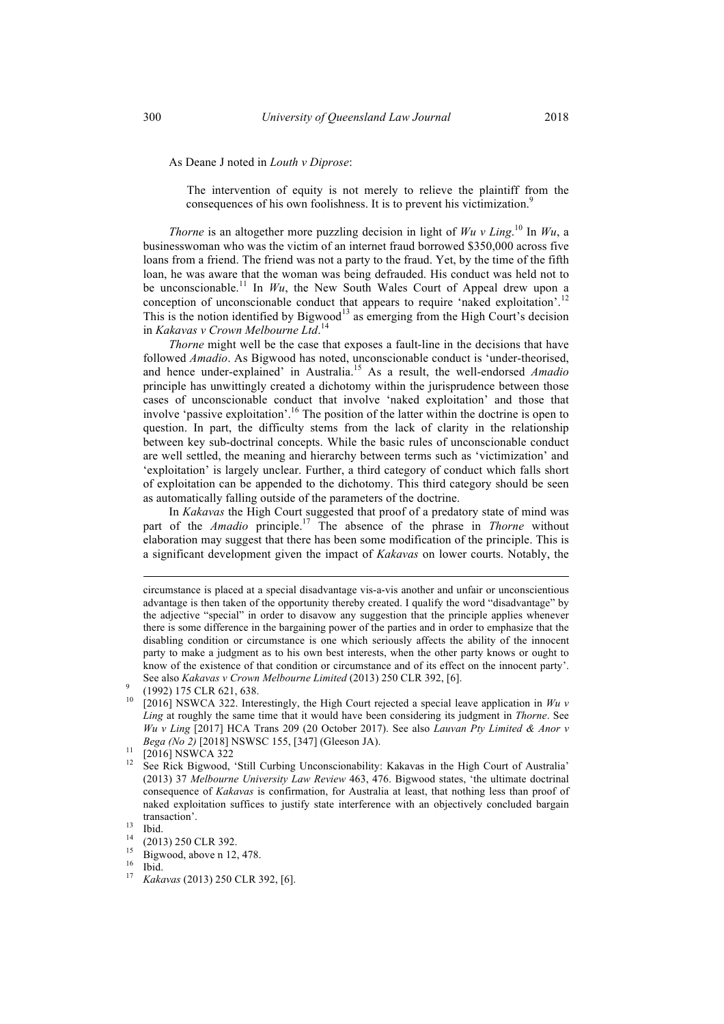As Deane J noted in *Louth v Diprose*:

The intervention of equity is not merely to relieve the plaintiff from the consequences of his own foolishness. It is to prevent his victimization.<sup>9</sup>

*Thorne* is an altogether more puzzling decision in light of  $Wu v$  *Ling*.<sup>10</sup> In  $Wu$ , a businesswoman who was the victim of an internet fraud borrowed \$350,000 across five loans from a friend. The friend was not a party to the fraud. Yet, by the time of the fifth loan, he was aware that the woman was being defrauded. His conduct was held not to be unconscionable.<sup>11</sup> In  $Wu$ , the New South Wales Court of Appeal drew upon a conception of unconscionable conduct that appears to require 'naked exploitation'.<sup>12</sup> This is the notion identified by Bigwood<sup>13</sup> as emerging from the High Court's decision in *Kakavas v Crown Melbourne Ltd*. 14

*Thorne* might well be the case that exposes a fault-line in the decisions that have followed *Amadio*. As Bigwood has noted, unconscionable conduct is 'under-theorised, and hence under-explained' in Australia.<sup>15</sup> As a result, the well-endorsed *Amadio* principle has unwittingly created a dichotomy within the jurisprudence between those cases of unconscionable conduct that involve 'naked exploitation' and those that involve 'passive exploitation'.16 The position of the latter within the doctrine is open to question. In part, the difficulty stems from the lack of clarity in the relationship between key sub-doctrinal concepts. While the basic rules of unconscionable conduct are well settled, the meaning and hierarchy between terms such as 'victimization' and 'exploitation' is largely unclear. Further, a third category of conduct which falls short of exploitation can be appended to the dichotomy. This third category should be seen as automatically falling outside of the parameters of the doctrine.

In *Kakavas* the High Court suggested that proof of a predatory state of mind was part of the *Amadio* principle.17 The absence of the phrase in *Thorne* without elaboration may suggest that there has been some modification of the principle. This is a significant development given the impact of *Kakavas* on lower courts. Notably, the

<u> Alexandria de la contrada de la contrada de la contrada de la contrada de la contrada de la contrada de la c</u>

circumstance is placed at a special disadvantage vis-a-vis another and unfair or unconscientious advantage is then taken of the opportunity thereby created. I qualify the word "disadvantage" by the adjective "special" in order to disavow any suggestion that the principle applies whenever there is some difference in the bargaining power of the parties and in order to emphasize that the disabling condition or circumstance is one which seriously affects the ability of the innocent party to make a judgment as to his own best interests, when the other party knows or ought to know of the existence of that condition or circumstance and of its effect on the innocent party'. See also *Kakavas v Crown Melbourne Limited* (2013) 250 CLR 392, [6].<br>(1992) 175 CLR 621, 638. 10 *(1992)* 175 CLR 621, 638. 10 [2016] NSWCA 322. Interestingly, the High Court rejected a special leave application in *Wu v* 

*Ling* at roughly the same time that it would have been considering its judgment in *Thorne*. See *Wu v Ling* [2017] HCA Trans 209 (20 October 2017). See also *Lauvan Pty Limited & Anor v* 

*Bega (No 2)* [2018] NSWSC 155, [347] (Gleeson JA).<br><sup>11</sup> [2016] NSWCA 322<br><sup>12</sup> See Rick Bigwood, 'Still Curbing Unconscionability: Kakavas in the High Court of Australia' (2013) 37 *Melbourne University Law Review* 463, 476. Bigwood states, 'the ultimate doctrinal consequence of *Kakavas* is confirmation, for Australia at least, that nothing less than proof of naked exploitation suffices to justify state interference with an objectively concluded bargain transaction'.

<sup>13</sup> Ibid.<br>
14 (2013) 250 CLR 392.<br>
15 Bigwood, above n 12, 478.<br>
16 Ibid.<br>
17 *Kakavas* (2013) 250 CLR 392, [6].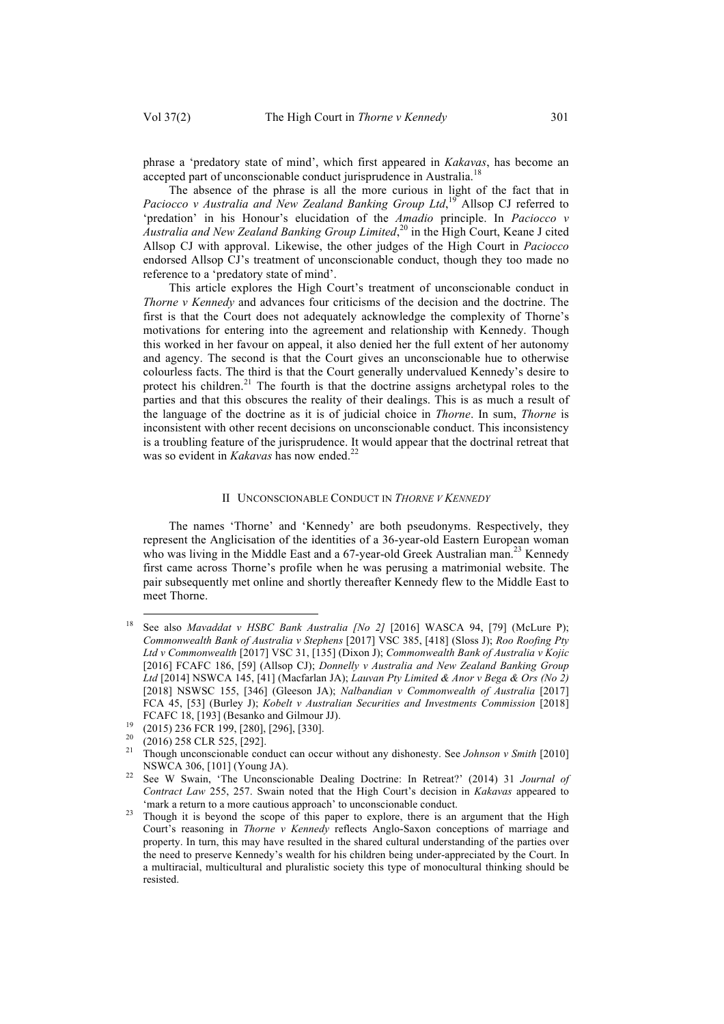phrase a 'predatory state of mind', which first appeared in *Kakavas*, has become an accepted part of unconscionable conduct jurisprudence in Australia.<sup>18</sup>

The absence of the phrase is all the more curious in light of the fact that in Paciocco v Australia and New Zealand Banking Group Ltd,<sup>19</sup> Allsop CJ referred to 'predation' in his Honour's elucidation of the *Amadio* principle. In *Paciocco v Australia and New Zealand Banking Group Limited*, <sup>20</sup> in the High Court, Keane J cited Allsop CJ with approval. Likewise, the other judges of the High Court in *Paciocco* endorsed Allsop CJ's treatment of unconscionable conduct, though they too made no reference to a 'predatory state of mind'.

This article explores the High Court's treatment of unconscionable conduct in *Thorne v Kennedy* and advances four criticisms of the decision and the doctrine. The first is that the Court does not adequately acknowledge the complexity of Thorne's motivations for entering into the agreement and relationship with Kennedy. Though this worked in her favour on appeal, it also denied her the full extent of her autonomy and agency. The second is that the Court gives an unconscionable hue to otherwise colourless facts. The third is that the Court generally undervalued Kennedy's desire to protect his children.<sup>21</sup> The fourth is that the doctrine assigns archetypal roles to the parties and that this obscures the reality of their dealings. This is as much a result of the language of the doctrine as it is of judicial choice in *Thorne*. In sum, *Thorne* is inconsistent with other recent decisions on unconscionable conduct. This inconsistency is a troubling feature of the jurisprudence. It would appear that the doctrinal retreat that was so evident in *Kakavas* has now ended.<sup>22</sup>

## II UNCONSCIONABLE CONDUCT IN *THORNE V KENNEDY*

The names 'Thorne' and 'Kennedy' are both pseudonyms. Respectively, they represent the Anglicisation of the identities of a 36-year-old Eastern European woman who was living in the Middle East and a 67-year-old Greek Australian man.<sup>23</sup> Kennedy first came across Thorne's profile when he was perusing a matrimonial website. The pair subsequently met online and shortly thereafter Kennedy flew to the Middle East to meet Thorne.

See also *Mavaddat v HSBC Bank Australia [No 2]* [2016] WASCA 94, [79] (McLure P); *Commonwealth Bank of Australia v Stephens* [2017] VSC 385, [418] (Sloss J); *Roo Roofing Pty Ltd v Commonwealth* [2017] VSC 31, [135] (Dixon J); *Commonwealth Bank of Australia v Kojic* [2016] FCAFC 186, [59] (Allsop CJ); *Donnelly v Australia and New Zealand Banking Group Ltd* [2014] NSWCA 145, [41] (Macfarlan JA); *Lauvan Pty Limited & Anor v Bega & Ors (No 2)* [2018] NSWSC 155, [346] (Gleeson JA); *Nalbandian v Commonwealth of Australia* [2017] FCA 45, [53] (Burley J); *Kobelt v Australian Securities and Investments Commission* [2018] FCAFC 18, [193] (Besanko and Gilmour JJ).<br><sup>19</sup> (2015) 236 FCR 199, [280], [296], [330].<br><sup>20</sup> (2016) 258 CLR 525, [292].<br><sup>21</sup> Though unconscionable conduct can occur without any dishonesty. See *Johnson v Smith* [2010]

NSWCA 306, [101] (Young JA). <sup>22</sup> See W Swain, 'The Unconscionable Dealing Doctrine: In Retreat?' (2014) 31 *Journal of* 

*Contract Law* 255, 257. Swain noted that the High Court's decision in *Kakavas* appeared to

<sup>&#</sup>x27;mark a return to a more cautious approach' to unconscionable conduct. 23 Though it is beyond the scope of this paper to explore, there is an argument that the High Court's reasoning in *Thorne v Kennedy* reflects Anglo-Saxon conceptions of marriage and property. In turn, this may have resulted in the shared cultural understanding of the parties over the need to preserve Kennedy's wealth for his children being under-appreciated by the Court. In a multiracial, multicultural and pluralistic society this type of monocultural thinking should be resisted.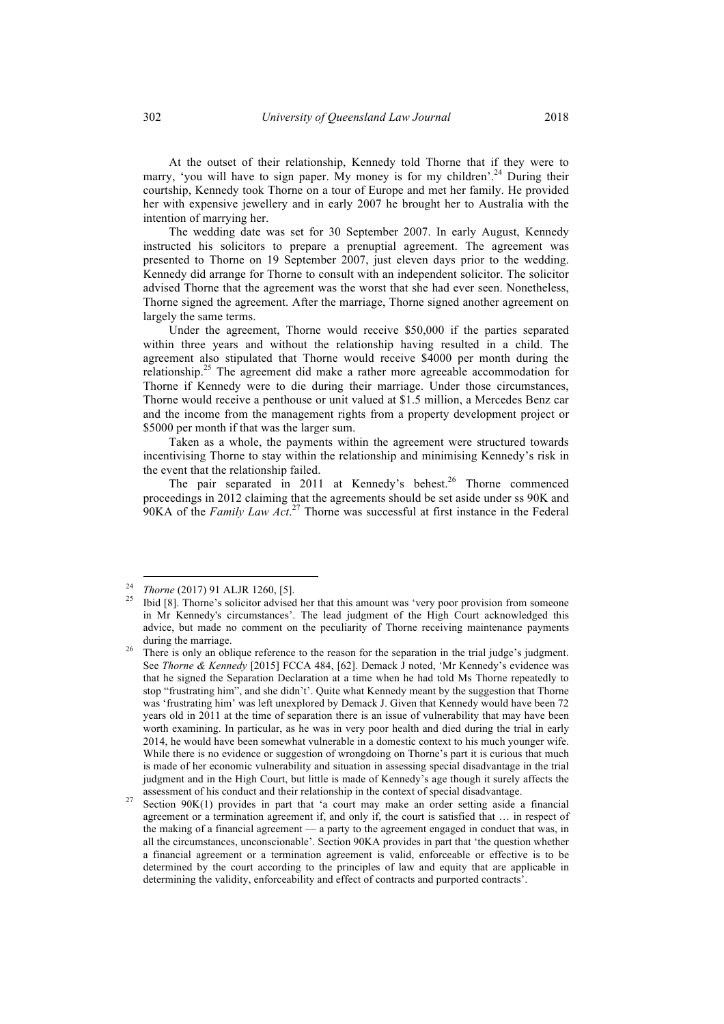At the outset of their relationship, Kennedy told Thorne that if they were to marry, 'you will have to sign paper. My money is for my children'.<sup>24</sup> During their courtship, Kennedy took Thorne on a tour of Europe and met her family. He provided her with expensive jewellery and in early 2007 he brought her to Australia with the intention of marrying her.

The wedding date was set for 30 September 2007. In early August, Kennedy instructed his solicitors to prepare a prenuptial agreement. The agreement was presented to Thorne on 19 September 2007, just eleven days prior to the wedding. Kennedy did arrange for Thorne to consult with an independent solicitor. The solicitor advised Thorne that the agreement was the worst that she had ever seen. Nonetheless, Thorne signed the agreement. After the marriage, Thorne signed another agreement on largely the same terms.

Under the agreement, Thorne would receive \$50,000 if the parties separated within three years and without the relationship having resulted in a child. The agreement also stipulated that Thorne would receive \$4000 per month during the relationship.25 The agreement did make a rather more agreeable accommodation for Thorne if Kennedy were to die during their marriage. Under those circumstances, Thorne would receive a penthouse or unit valued at \$1.5 million, a Mercedes Benz car and the income from the management rights from a property development project or \$5000 per month if that was the larger sum.

Taken as a whole, the payments within the agreement were structured towards incentivising Thorne to stay within the relationship and minimising Kennedy's risk in the event that the relationship failed.

The pair separated in 2011 at Kennedy's behest.<sup>26</sup> Thorne commenced proceedings in 2012 claiming that the agreements should be set aside under ss 90K and 90KA of the *Family Law Act*. <sup>27</sup> Thorne was successful at first instance in the Federal

<sup>&</sup>lt;sup>24</sup> *Thorne* (2017) 91 ALJR 1260, [5].<br><sup>25</sup> Ibid [8]. Thorne's solicitor advised her that this amount was 'very poor provision from someone in Mr Kennedy's circumstances'. The lead judgment of the High Court acknowledged this advice, but made no comment on the peculiarity of Thorne receiving maintenance payments during the marriage.<br><sup>26</sup> There is only an oblique reference to the reason for the separation in the trial judge's judgment.

See *Thorne & Kennedy* [2015] FCCA 484, [62]. Demack J noted, 'Mr Kennedy's evidence was that he signed the Separation Declaration at a time when he had told Ms Thorne repeatedly to stop "frustrating him", and she didn't'. Quite what Kennedy meant by the suggestion that Thorne was 'frustrating him' was left unexplored by Demack J. Given that Kennedy would have been 72 years old in 2011 at the time of separation there is an issue of vulnerability that may have been worth examining. In particular, as he was in very poor health and died during the trial in early 2014, he would have been somewhat vulnerable in a domestic context to his much younger wife. While there is no evidence or suggestion of wrongdoing on Thorne's part it is curious that much is made of her economic vulnerability and situation in assessing special disadvantage in the trial judgment and in the High Court, but little is made of Kennedy's age though it surely affects the

assessment of his conduct and their relationship in the context of special disadvantage.<br><sup>27</sup> Section 90K(1) provides in part that 'a court may make an order setting aside a financial agreement or a termination agreement if, and only if, the court is satisfied that … in respect of the making of a financial agreement — a party to the agreement engaged in conduct that was, in all the circumstances, unconscionable'. Section 90KA provides in part that 'the question whether a financial agreement or a termination agreement is valid, enforceable or effective is to be determined by the court according to the principles of law and equity that are applicable in determining the validity, enforceability and effect of contracts and purported contracts'.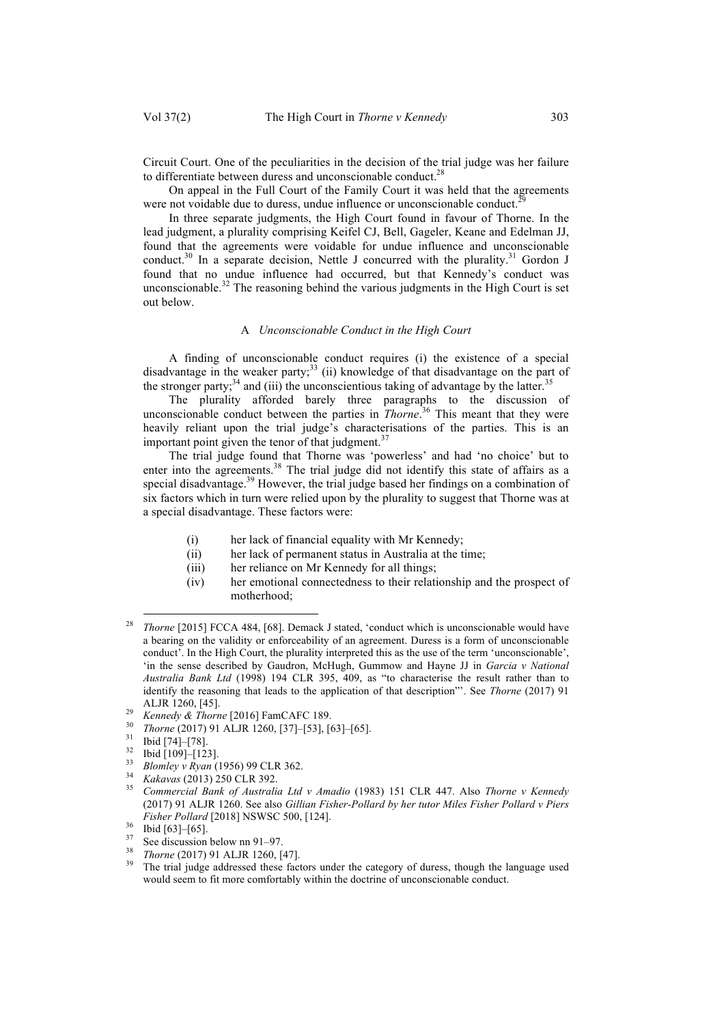Circuit Court. One of the peculiarities in the decision of the trial judge was her failure to differentiate between duress and unconscionable conduct.<sup>28</sup>

On appeal in the Full Court of the Family Court it was held that the agreements were not voidable due to duress, undue influence or unconscionable conduct.<sup>2</sup>

In three separate judgments, the High Court found in favour of Thorne. In the lead judgment, a plurality comprising Keifel CJ, Bell, Gageler, Keane and Edelman JJ, found that the agreements were voidable for undue influence and unconscionable conduct.<sup>30</sup> In a separate decision, Nettle J concurred with the plurality.<sup>31</sup> Gordon J found that no undue influence had occurred, but that Kennedy's conduct was unconscionable.<sup>32</sup> The reasoning behind the various judgments in the High Court is set out below.

### A *Unconscionable Conduct in the High Court*

A finding of unconscionable conduct requires (i) the existence of a special disadvantage in the weaker party;<sup>33</sup> (ii) knowledge of that disadvantage on the part of the stronger party;<sup>34</sup> and (iii) the unconscientious taking of advantage by the latter.<sup>35</sup>

The plurality afforded barely three paragraphs to the discussion of unconscionable conduct between the parties in *Thorne*. <sup>36</sup> This meant that they were heavily reliant upon the trial judge's characterisations of the parties. This is an important point given the tenor of that judgment. $37$ 

The trial judge found that Thorne was 'powerless' and had 'no choice' but to enter into the agreements.<sup>38</sup> The trial judge did not identify this state of affairs as a special disadvantage.<sup>39</sup> However, the trial judge based her findings on a combination of six factors which in turn were relied upon by the plurality to suggest that Thorne was at a special disadvantage. These factors were:

- (i) her lack of financial equality with Mr Kennedy;
- (ii) her lack of permanent status in Australia at the time;
- (iii) her reliance on Mr Kennedy for all things;
- (iv) her emotional connectedness to their relationship and the prospect of motherhood;

<sup>&</sup>lt;sup>28</sup> *Thorne* [2015] FCCA 484, [68]. Demack J stated, 'conduct which is unconscionable would have a bearing on the validity or enforceability of an agreement. Duress is a form of unconscionable conduct'. In the High Court, the plurality interpreted this as the use of the term 'unconscionable', 'in the sense described by Gaudron, McHugh, Gummow and Hayne JJ in *Garcia v National Australia Bank Ltd* (1998) 194 CLR 395, 409, as "to characterise the result rather than to identify the reasoning that leads to the application of that description"'. See *Thorne* (2017) 91 ALJR 1260, [45].<br>
<sup>29</sup> Kennedy & Thorne [2016] FamCAFC 189.<br>
<sup>30</sup> Thorne (2017) 91 ALJR 1260, [37]-[53], [63]-[65].<br>
<sup>31</sup> Ibid [74]-[78].<br>
<sup>32</sup> Ibid [109]-[123].<br> *80mley v Ryan* (1956) 99 CLR 362.<br>
<sup>34</sup> Kakavas (2013) 250

<sup>(2017) 91</sup> ALJR 1260. See also *Gillian Fisher-Pollard by her tutor Miles Fisher Pollard v Piers* 

<sup>&</sup>lt;sup>36</sup> Ibid [63]-[65].<br><sup>37</sup> See discussion below nn 91–97.<br><sup>38</sup> *Thorne* (2017) 91 ALJR 1260, [47].<br><sup>39</sup> The trial judge addressed these factors under the category of duress, though the language used would seem to fit more comfortably within the doctrine of unconscionable conduct.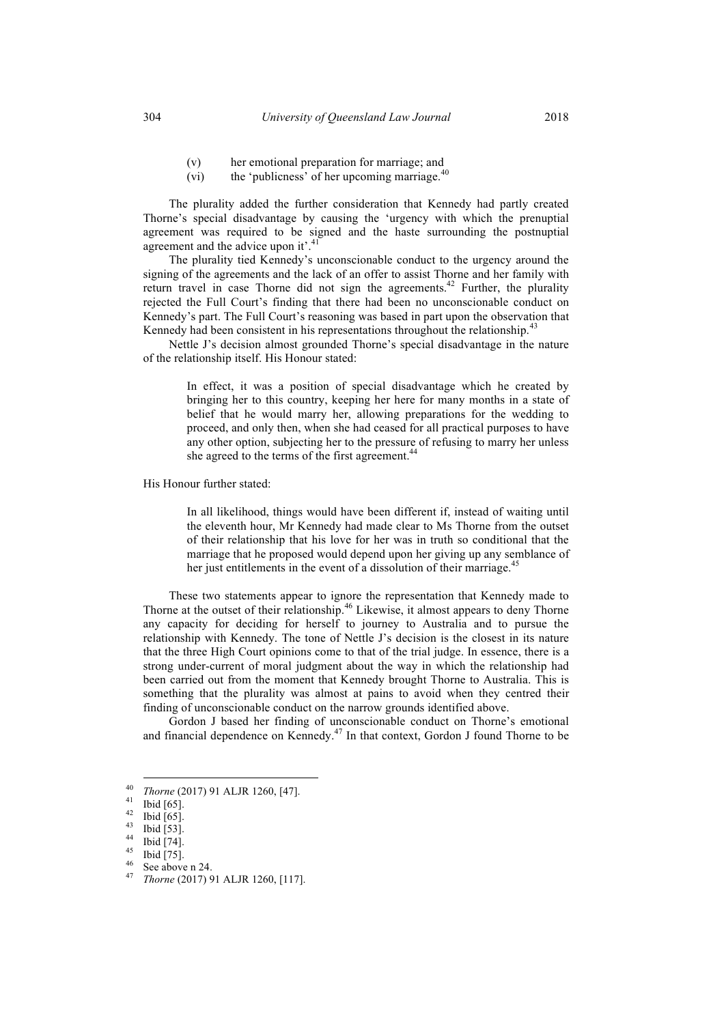- (v) her emotional preparation for marriage; and
- (vi) the 'publicness' of her upcoming marriage. $40$

The plurality added the further consideration that Kennedy had partly created Thorne's special disadvantage by causing the 'urgency with which the prenuptial agreement was required to be signed and the haste surrounding the postnuptial agreement and the advice upon it'.<sup>4</sup>

The plurality tied Kennedy's unconscionable conduct to the urgency around the signing of the agreements and the lack of an offer to assist Thorne and her family with return travel in case Thorne did not sign the agreements.<sup>42</sup> Further, the plurality rejected the Full Court's finding that there had been no unconscionable conduct on Kennedy's part. The Full Court's reasoning was based in part upon the observation that Kennedy had been consistent in his representations throughout the relationship.<sup>43</sup>

Nettle J's decision almost grounded Thorne's special disadvantage in the nature of the relationship itself. His Honour stated:

> In effect, it was a position of special disadvantage which he created by bringing her to this country, keeping her here for many months in a state of belief that he would marry her, allowing preparations for the wedding to proceed, and only then, when she had ceased for all practical purposes to have any other option, subjecting her to the pressure of refusing to marry her unless she agreed to the terms of the first agreement.<sup>44</sup>

His Honour further stated:

In all likelihood, things would have been different if, instead of waiting until the eleventh hour, Mr Kennedy had made clear to Ms Thorne from the outset of their relationship that his love for her was in truth so conditional that the marriage that he proposed would depend upon her giving up any semblance of her just entitlements in the event of a dissolution of their marriage.<sup>45</sup>

These two statements appear to ignore the representation that Kennedy made to Thorne at the outset of their relationship.<sup>46</sup> Likewise, it almost appears to deny Thorne any capacity for deciding for herself to journey to Australia and to pursue the relationship with Kennedy. The tone of Nettle J's decision is the closest in its nature that the three High Court opinions come to that of the trial judge. In essence, there is a strong under-current of moral judgment about the way in which the relationship had been carried out from the moment that Kennedy brought Thorne to Australia. This is something that the plurality was almost at pains to avoid when they centred their finding of unconscionable conduct on the narrow grounds identified above.

Gordon J based her finding of unconscionable conduct on Thorne's emotional and financial dependence on Kennedy.<sup>47</sup> In that context, Gordon J found Thorne to be

<sup>40</sup> *Thorne* (2017) 91 ALJR 1260, [47].<br>
<sup>41</sup> Ibid [65].<br>
<sup>42</sup> Ibid [65].<br>
<sup>43</sup> Ibid [74].<br>
<sup>45</sup> Ibid [75].<br>
<sup>46</sup> See above n 24.<br>
<sup>47</sup> *Thorne* (2017) 91 ALJR 1260, [117].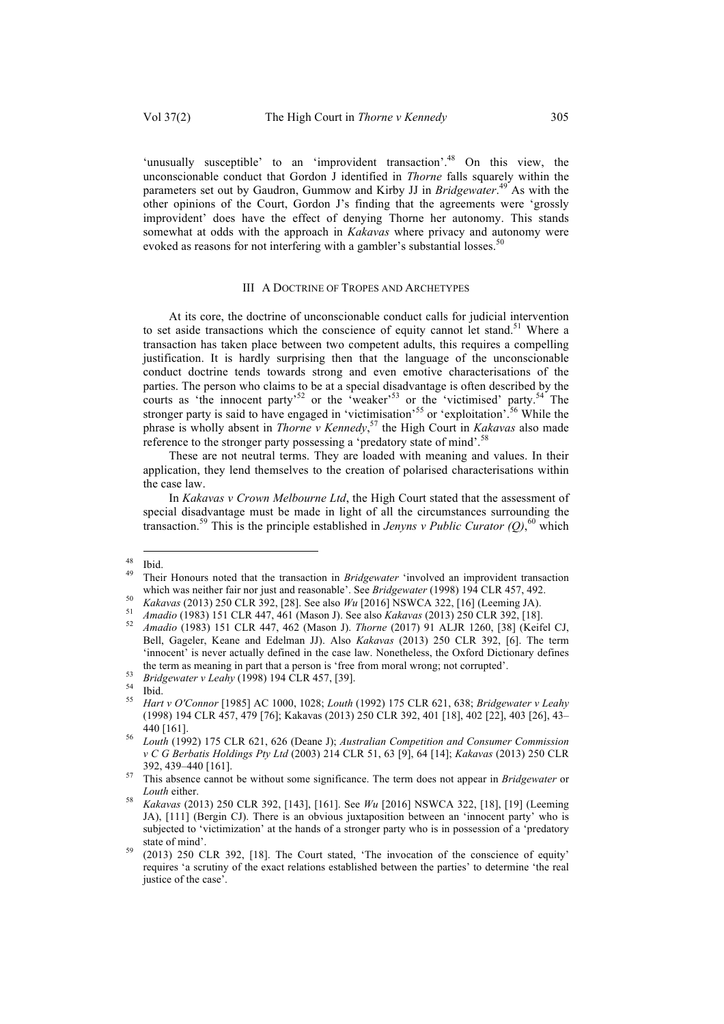'unusually susceptible' to an 'improvident transaction'.<sup>48</sup> On this view, the unconscionable conduct that Gordon J identified in *Thorne* falls squarely within the parameters set out by Gaudron, Gummow and Kirby JJ in *Bridgewater*.<sup>49</sup> As with the other opinions of the Court, Gordon J's finding that the agreements were 'grossly improvident' does have the effect of denying Thorne her autonomy. This stands somewhat at odds with the approach in *Kakavas* where privacy and autonomy were evoked as reasons for not interfering with a gambler's substantial losses.<sup>50</sup>

# III A DOCTRINE OF TROPES AND ARCHETYPES

At its core, the doctrine of unconscionable conduct calls for judicial intervention to set aside transactions which the conscience of equity cannot let stand.<sup>51</sup> Where a transaction has taken place between two competent adults, this requires a compelling justification. It is hardly surprising then that the language of the unconscionable conduct doctrine tends towards strong and even emotive characterisations of the parties. The person who claims to be at a special disadvantage is often described by the courts as 'the innocent party'<sup>52</sup> or the 'weaker'<sup>53</sup> or the 'victimised' party.<sup>54</sup> The stronger party is said to have engaged in 'victimisation'<sup>55</sup> or 'exploitation'.<sup>56</sup> While the phrase is wholly absent in *Thorne v Kennedy*, <sup>57</sup> the High Court in *Kakavas* also made reference to the stronger party possessing a 'predatory state of mind'.<sup>58</sup>

These are not neutral terms. They are loaded with meaning and values. In their application, they lend themselves to the creation of polarised characterisations within the case law.

In *Kakavas v Crown Melbourne Ltd*, the High Court stated that the assessment of special disadvantage must be made in light of all the circumstances surrounding the transaction.<sup>59</sup> This is the principle established in *Jenyns v Public Curator* (Q),<sup>60</sup> which

 <sup>48</sup> Ibid. 49 Their Honours noted that the transaction in *Bridgewater* 'involved an improvident transaction which was neither fair nor just and reasonable'. See *Bridgewater* (1998) 194 CLR 457, 492.<br> *Kakavas* (2013) 250 CLR 392, [28]. See also *Wu* [2016] NSWCA 322, [16] (Leeming JA).<br> *Amadio* (1983) 151 CLR 447, 461 (Mason J

Bell, Gageler, Keane and Edelman JJ). Also *Kakavas* (2013) 250 CLR 392, [6]. The term 'innocent' is never actually defined in the case law. Nonetheless, the Oxford Dictionary defines the term as meaning in part that a person is 'free from moral wrong; not corrupted'.<br>
<sup>53</sup> *Bridgewater v Leahy* (1998) 194 CLR 457, [39].<br>
<sup>54</sup> Ibid.<br>
<sup>55</sup> *Hart v O'Connor* [1985] AC 1000, 1028; *Louth* (1992) 175 CLR 62

<sup>(1998) 194</sup> CLR 457, 479 [76]; Kakavas (2013) 250 CLR 392, 401 [18], 402 [22], 403 [26], 43–

<sup>440 [161].</sup> <sup>56</sup> *Louth* (1992) 175 CLR 621, 626 (Deane J); *Australian Competition and Consumer Commission v C G Berbatis Holdings Pty Ltd* (2003) 214 CLR 51, 63 [9], 64 [14]; *Kakavas* (2013) 250 CLR 392, 439–440 [161]. 57 This absence cannot be without some significance. The term does not appear in *Bridgewater* or

*Louth* either.<br>*Kakavas* (2013) 250 CLR 392, [143], [161]. See *Wu* [2016] NSWCA 322, [18], [19] (Leeming

JA), [111] (Bergin CJ). There is an obvious juxtaposition between an 'innocent party' who is subjected to 'victimization' at the hands of a stronger party who is in possession of a 'predatory

state of mind'.<br>(2013) 250 CLR 392, [18]. The Court stated, 'The invocation of the conscience of equity' requires 'a scrutiny of the exact relations established between the parties' to determine 'the real justice of the case'.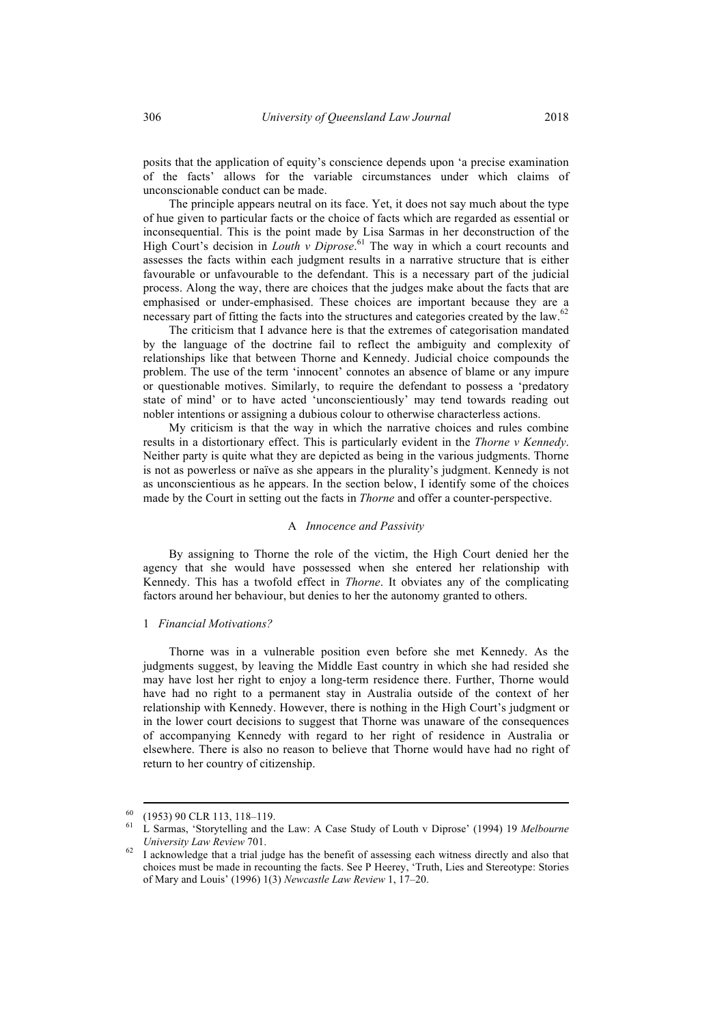posits that the application of equity's conscience depends upon 'a precise examination of the facts' allows for the variable circumstances under which claims of unconscionable conduct can be made.

The principle appears neutral on its face. Yet, it does not say much about the type of hue given to particular facts or the choice of facts which are regarded as essential or inconsequential. This is the point made by Lisa Sarmas in her deconstruction of the High Court's decision in *Louth v Diprose*. <sup>61</sup> The way in which a court recounts and assesses the facts within each judgment results in a narrative structure that is either favourable or unfavourable to the defendant. This is a necessary part of the judicial process. Along the way, there are choices that the judges make about the facts that are emphasised or under-emphasised. These choices are important because they are a necessary part of fitting the facts into the structures and categories created by the law.<sup>62</sup>

The criticism that I advance here is that the extremes of categorisation mandated by the language of the doctrine fail to reflect the ambiguity and complexity of relationships like that between Thorne and Kennedy. Judicial choice compounds the problem. The use of the term 'innocent' connotes an absence of blame or any impure or questionable motives. Similarly, to require the defendant to possess a 'predatory state of mind' or to have acted 'unconscientiously' may tend towards reading out nobler intentions or assigning a dubious colour to otherwise characterless actions.

My criticism is that the way in which the narrative choices and rules combine results in a distortionary effect. This is particularly evident in the *Thorne v Kennedy*. Neither party is quite what they are depicted as being in the various judgments. Thorne is not as powerless or naïve as she appears in the plurality's judgment. Kennedy is not as unconscientious as he appears. In the section below, I identify some of the choices made by the Court in setting out the facts in *Thorne* and offer a counter-perspective.

# A *Innocence and Passivity*

By assigning to Thorne the role of the victim, the High Court denied her the agency that she would have possessed when she entered her relationship with Kennedy. This has a twofold effect in *Thorne*. It obviates any of the complicating factors around her behaviour, but denies to her the autonomy granted to others.

#### 1 *Financial Motivations?*

Thorne was in a vulnerable position even before she met Kennedy. As the judgments suggest, by leaving the Middle East country in which she had resided she may have lost her right to enjoy a long-term residence there. Further, Thorne would have had no right to a permanent stay in Australia outside of the context of her relationship with Kennedy. However, there is nothing in the High Court's judgment or in the lower court decisions to suggest that Thorne was unaware of the consequences of accompanying Kennedy with regard to her right of residence in Australia or elsewhere. There is also no reason to believe that Thorne would have had no right of return to her country of citizenship.

 <sup>60</sup> (1953) 90 CLR 113, 118–119. 61 <sup>L</sup> Sarmas, 'Storytelling and the Law: A Case Study of Louth v Diprose' (1994) 19 *Melbourne University Law Review* 701.<br>I acknowledge that a trial judge has the benefit of assessing each witness directly and also that

choices must be made in recounting the facts. See P Heerey, 'Truth, Lies and Stereotype: Stories of Mary and Louis' (1996) 1(3) *Newcastle Law Review* 1, 17–20.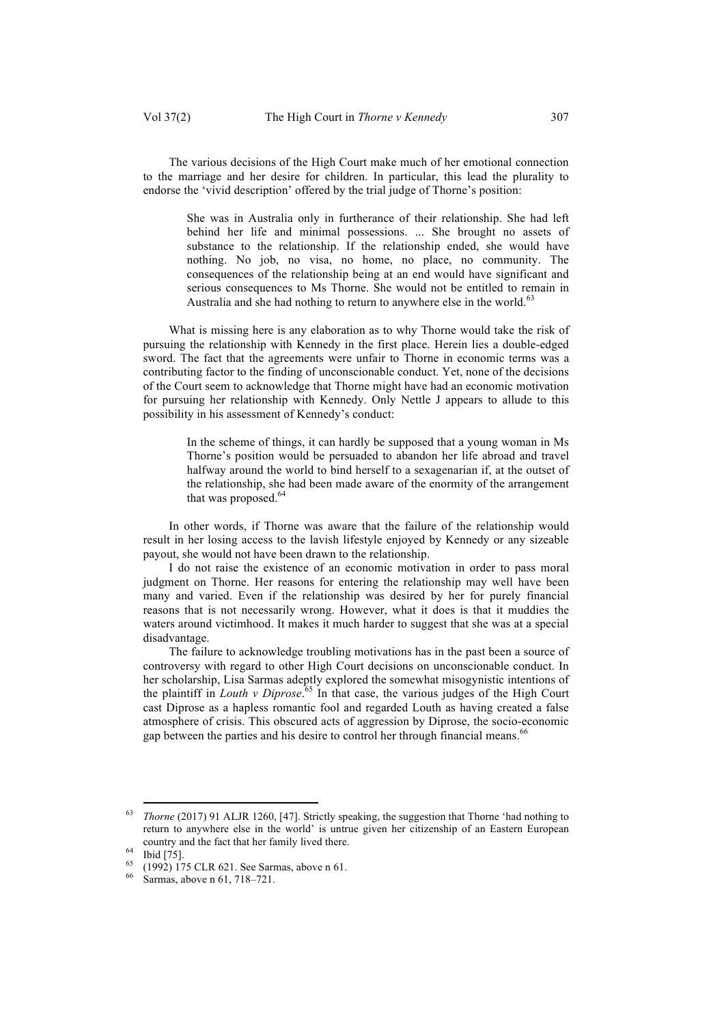The various decisions of the High Court make much of her emotional connection to the marriage and her desire for children. In particular, this lead the plurality to endorse the 'vivid description' offered by the trial judge of Thorne's position:

> She was in Australia only in furtherance of their relationship. She had left behind her life and minimal possessions. ... She brought no assets of substance to the relationship. If the relationship ended, she would have nothing. No job, no visa, no home, no place, no community. The consequences of the relationship being at an end would have significant and serious consequences to Ms Thorne. She would not be entitled to remain in Australia and she had nothing to return to anywhere else in the world. $63$

What is missing here is any elaboration as to why Thorne would take the risk of pursuing the relationship with Kennedy in the first place. Herein lies a double-edged sword. The fact that the agreements were unfair to Thorne in economic terms was a contributing factor to the finding of unconscionable conduct. Yet, none of the decisions of the Court seem to acknowledge that Thorne might have had an economic motivation for pursuing her relationship with Kennedy. Only Nettle J appears to allude to this possibility in his assessment of Kennedy's conduct:

> In the scheme of things, it can hardly be supposed that a young woman in Ms Thorne's position would be persuaded to abandon her life abroad and travel halfway around the world to bind herself to a sexagenarian if, at the outset of the relationship, she had been made aware of the enormity of the arrangement that was proposed.<sup>64</sup>

In other words, if Thorne was aware that the failure of the relationship would result in her losing access to the lavish lifestyle enjoyed by Kennedy or any sizeable payout, she would not have been drawn to the relationship.

I do not raise the existence of an economic motivation in order to pass moral judgment on Thorne. Her reasons for entering the relationship may well have been many and varied. Even if the relationship was desired by her for purely financial reasons that is not necessarily wrong. However, what it does is that it muddies the waters around victimhood. It makes it much harder to suggest that she was at a special disadvantage.

The failure to acknowledge troubling motivations has in the past been a source of controversy with regard to other High Court decisions on unconscionable conduct. In her scholarship, Lisa Sarmas adeptly explored the somewhat misogynistic intentions of the plaintiff in *Louth v Diprose*. <sup>65</sup> In that case, the various judges of the High Court cast Diprose as a hapless romantic fool and regarded Louth as having created a false atmosphere of crisis. This obscured acts of aggression by Diprose, the socio-economic gap between the parties and his desire to control her through financial means.<sup>66</sup>

 <sup>63</sup> *Thorne* (2017) 91 ALJR 1260, [47]. Strictly speaking, the suggestion that Thorne 'had nothing to return to anywhere else in the world' is untrue given her citizenship of an Eastern European country and the fact that her family lived there.<br>  $^{64}$  Ibid [75].<br>  $^{65}$  (1992) 175 CLR 621. See Sarmas, above n 61.<br>  $^{66}$  Sarmas, above n 61, 718–721.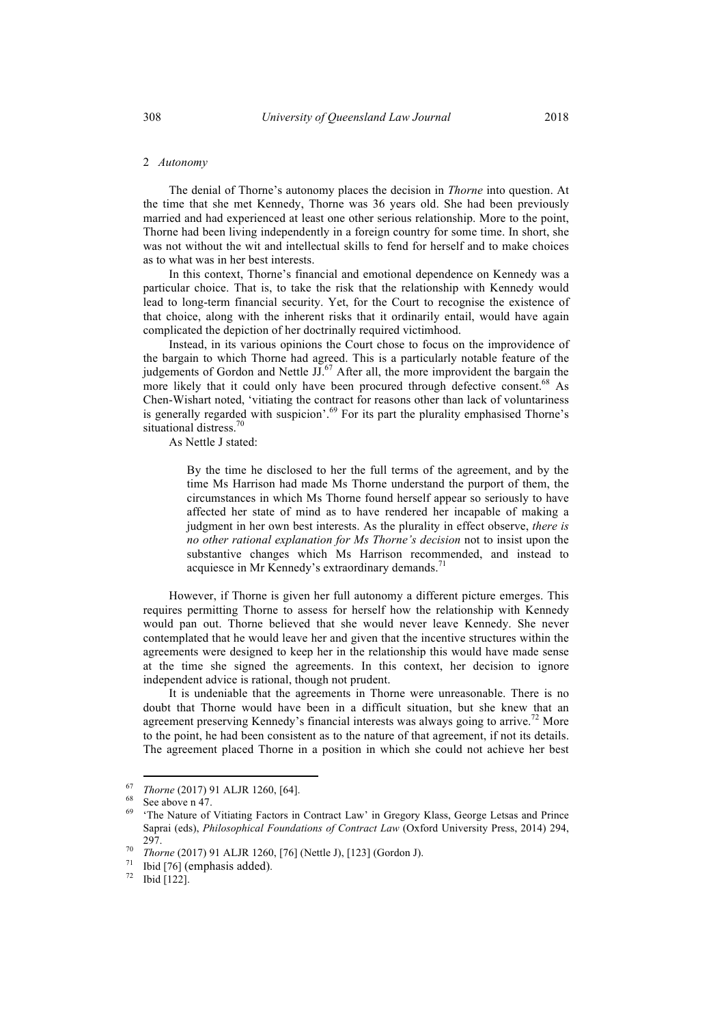#### 2 *Autonomy*

The denial of Thorne's autonomy places the decision in *Thorne* into question. At the time that she met Kennedy, Thorne was 36 years old. She had been previously married and had experienced at least one other serious relationship. More to the point, Thorne had been living independently in a foreign country for some time. In short, she was not without the wit and intellectual skills to fend for herself and to make choices as to what was in her best interests.

In this context, Thorne's financial and emotional dependence on Kennedy was a particular choice. That is, to take the risk that the relationship with Kennedy would lead to long-term financial security. Yet, for the Court to recognise the existence of that choice, along with the inherent risks that it ordinarily entail, would have again complicated the depiction of her doctrinally required victimhood.

Instead, in its various opinions the Court chose to focus on the improvidence of the bargain to which Thorne had agreed. This is a particularly notable feature of the judgements of Gordon and Nettle  $JJ<sup>67</sup>$  After all, the more improvident the bargain the more likely that it could only have been procured through defective consent.<sup>68</sup> As Chen-Wishart noted, 'vitiating the contract for reasons other than lack of voluntariness is generally regarded with suspicion'.<sup>69</sup> For its part the plurality emphasised Thorne's situational distress.<sup>70</sup>

As Nettle J stated:

By the time he disclosed to her the full terms of the agreement, and by the time Ms Harrison had made Ms Thorne understand the purport of them, the circumstances in which Ms Thorne found herself appear so seriously to have affected her state of mind as to have rendered her incapable of making a judgment in her own best interests. As the plurality in effect observe, *there is no other rational explanation for Ms Thorne's decision* not to insist upon the substantive changes which Ms Harrison recommended, and instead to acquiesce in Mr Kennedy's extraordinary demands.<sup>71</sup>

However, if Thorne is given her full autonomy a different picture emerges. This requires permitting Thorne to assess for herself how the relationship with Kennedy would pan out. Thorne believed that she would never leave Kennedy. She never contemplated that he would leave her and given that the incentive structures within the agreements were designed to keep her in the relationship this would have made sense at the time she signed the agreements. In this context, her decision to ignore independent advice is rational, though not prudent.

It is undeniable that the agreements in Thorne were unreasonable. There is no doubt that Thorne would have been in a difficult situation, but she knew that an agreement preserving Kennedy's financial interests was always going to arrive.<sup>72</sup> More to the point, he had been consistent as to the nature of that agreement, if not its details. The agreement placed Thorne in a position in which she could not achieve her best

<sup>&</sup>lt;sup>67</sup> *Thorne* (2017) 91 ALJR 1260, [64].<br><sup>68</sup> See above n 47.<br><sup>69</sup> 'The Nature of Vitiating Factors in Contract Law' in Gregory Klass, George Letsas and Prince Saprai (eds), *Philosophical Foundations of Contract Law* (Oxford University Press, 2014) 294,

<sup>297.&</sup>lt;br> *Thorne* (2017) 91 ALJR 1260, [76] (Nettle J), [123] (Gordon J).<br>
<sup>71</sup> Bidd<sup>2</sup> (sumboris added)

<sup>&</sup>lt;sup>71</sup> Ibid [76] (emphasis added).<br><sup>72</sup> Ibid [122].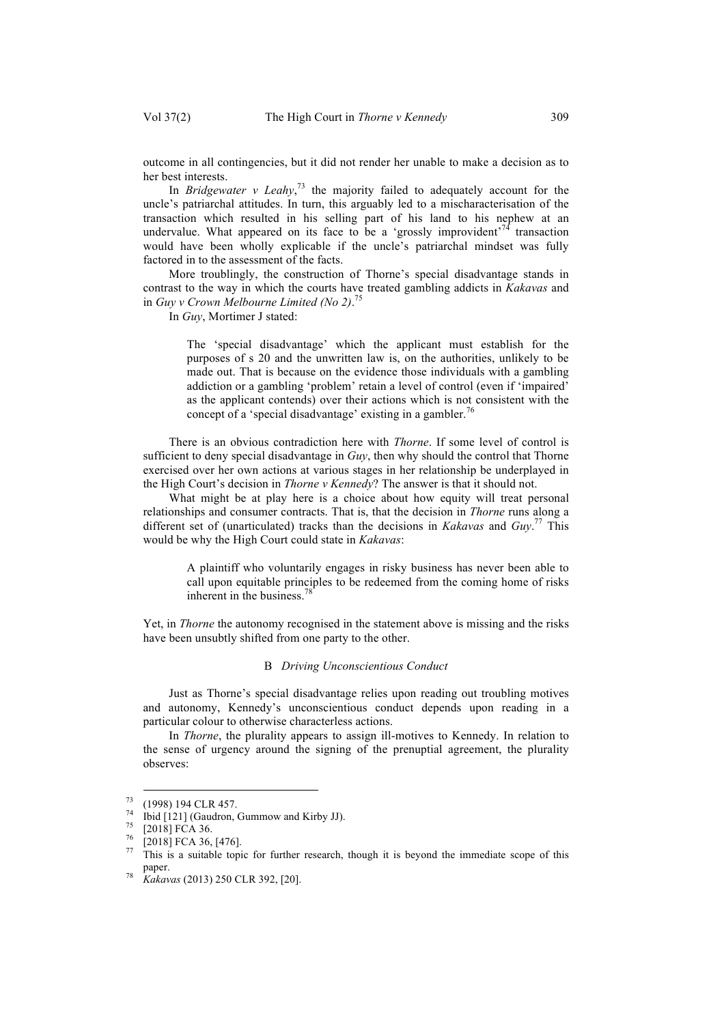outcome in all contingencies, but it did not render her unable to make a decision as to her best interests.

In *Bridgewater v Leahy*, <sup>73</sup> the majority failed to adequately account for the uncle's patriarchal attitudes. In turn, this arguably led to a mischaracterisation of the transaction which resulted in his selling part of his land to his nephew at an undervalue. What appeared on its face to be a 'grossly improvident'<sup>74</sup> transaction would have been wholly explicable if the uncle's patriarchal mindset was fully factored in to the assessment of the facts.

More troublingly, the construction of Thorne's special disadvantage stands in contrast to the way in which the courts have treated gambling addicts in *Kakavas* and in *Guy v Crown Melbourne Limited (No 2)*. 75

In *Guy*, Mortimer J stated:

The 'special disadvantage' which the applicant must establish for the purposes of s 20 and the unwritten law is, on the authorities, unlikely to be made out. That is because on the evidence those individuals with a gambling addiction or a gambling 'problem' retain a level of control (even if 'impaired' as the applicant contends) over their actions which is not consistent with the concept of a 'special disadvantage' existing in a gambler.<sup>76</sup>

There is an obvious contradiction here with *Thorne*. If some level of control is sufficient to deny special disadvantage in *Guy*, then why should the control that Thorne exercised over her own actions at various stages in her relationship be underplayed in the High Court's decision in *Thorne v Kennedy*? The answer is that it should not.

What might be at play here is a choice about how equity will treat personal relationships and consumer contracts. That is, that the decision in *Thorne* runs along a different set of (unarticulated) tracks than the decisions in *Kakavas* and *Guy*. <sup>77</sup> This would be why the High Court could state in *Kakavas*:

> A plaintiff who voluntarily engages in risky business has never been able to call upon equitable principles to be redeemed from the coming home of risks inherent in the business.<sup>78</sup>

Yet, in *Thorne* the autonomy recognised in the statement above is missing and the risks have been unsubtly shifted from one party to the other.

## B *Driving Unconscientious Conduct*

Just as Thorne's special disadvantage relies upon reading out troubling motives and autonomy, Kennedy's unconscientious conduct depends upon reading in a particular colour to otherwise characterless actions.

In *Thorne*, the plurality appears to assign ill-motives to Kennedy. In relation to the sense of urgency around the signing of the prenuptial agreement, the plurality observes:

<sup>&</sup>lt;sup>73</sup> (1998) 194 CLR 457.<br><sup>74</sup> Ibid [121] (Gaudron, Gummow and Kirby JJ).<br><sup>75</sup> [2018] FCA 36, [476].<br><sup>76</sup> [2018] FCA 36, [476].<br><sup>77</sup> This is a suitable topic for further research, though it is beyond the immediate scope of paper. 78 *Kakavas* (2013) 250 CLR 392, [20].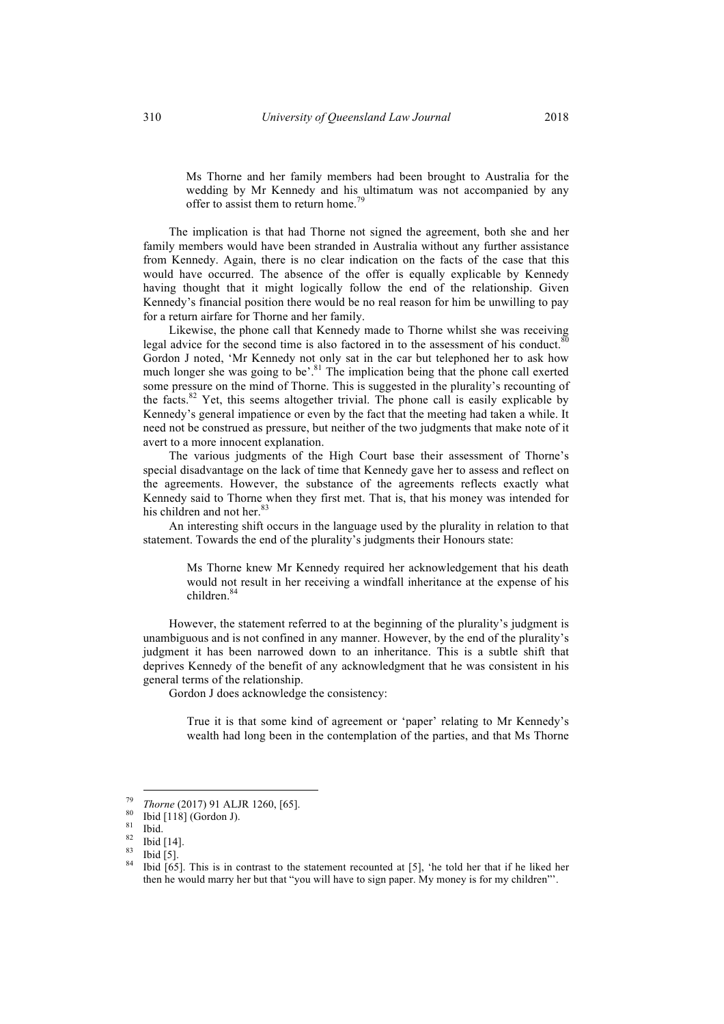Ms Thorne and her family members had been brought to Australia for the wedding by Mr Kennedy and his ultimatum was not accompanied by any offer to assist them to return home.<sup>79</sup>

The implication is that had Thorne not signed the agreement, both she and her family members would have been stranded in Australia without any further assistance from Kennedy. Again, there is no clear indication on the facts of the case that this would have occurred. The absence of the offer is equally explicable by Kennedy having thought that it might logically follow the end of the relationship. Given Kennedy's financial position there would be no real reason for him be unwilling to pay for a return airfare for Thorne and her family.

Likewise, the phone call that Kennedy made to Thorne whilst she was receiving legal advice for the second time is also factored in to the assessment of his conduct. $\delta$ Gordon J noted, 'Mr Kennedy not only sat in the car but telephoned her to ask how much longer she was going to be'. $81$  The implication being that the phone call exerted some pressure on the mind of Thorne. This is suggested in the plurality's recounting of the facts.<sup>82</sup> Yet, this seems altogether trivial. The phone call is easily explicable by Kennedy's general impatience or even by the fact that the meeting had taken a while. It need not be construed as pressure, but neither of the two judgments that make note of it avert to a more innocent explanation.

The various judgments of the High Court base their assessment of Thorne's special disadvantage on the lack of time that Kennedy gave her to assess and reflect on the agreements. However, the substance of the agreements reflects exactly what Kennedy said to Thorne when they first met. That is, that his money was intended for his children and not her.<sup>83</sup>

An interesting shift occurs in the language used by the plurality in relation to that statement. Towards the end of the plurality's judgments their Honours state:

> Ms Thorne knew Mr Kennedy required her acknowledgement that his death would not result in her receiving a windfall inheritance at the expense of his children. 84

However, the statement referred to at the beginning of the plurality's judgment is unambiguous and is not confined in any manner. However, by the end of the plurality's judgment it has been narrowed down to an inheritance. This is a subtle shift that deprives Kennedy of the benefit of any acknowledgment that he was consistent in his general terms of the relationship.

Gordon J does acknowledge the consistency:

True it is that some kind of agreement or 'paper' relating to Mr Kennedy's wealth had long been in the contemplation of the parties, and that Ms Thorne

<sup>&</sup>lt;sup>79</sup> *Thorne* (2017) 91 ALJR 1260, [65].<br><sup>80</sup> Ibid [118] (Gordon J).<br><sup>81</sup> Ibid [14].<br><sup>82</sup> Ibid [5].<br><sup>84</sup> Ibid [65]. This is in contrast to the statement recounted at [5], 'he told her that if he liked her then he would marry her but that "you will have to sign paper. My money is for my children"'.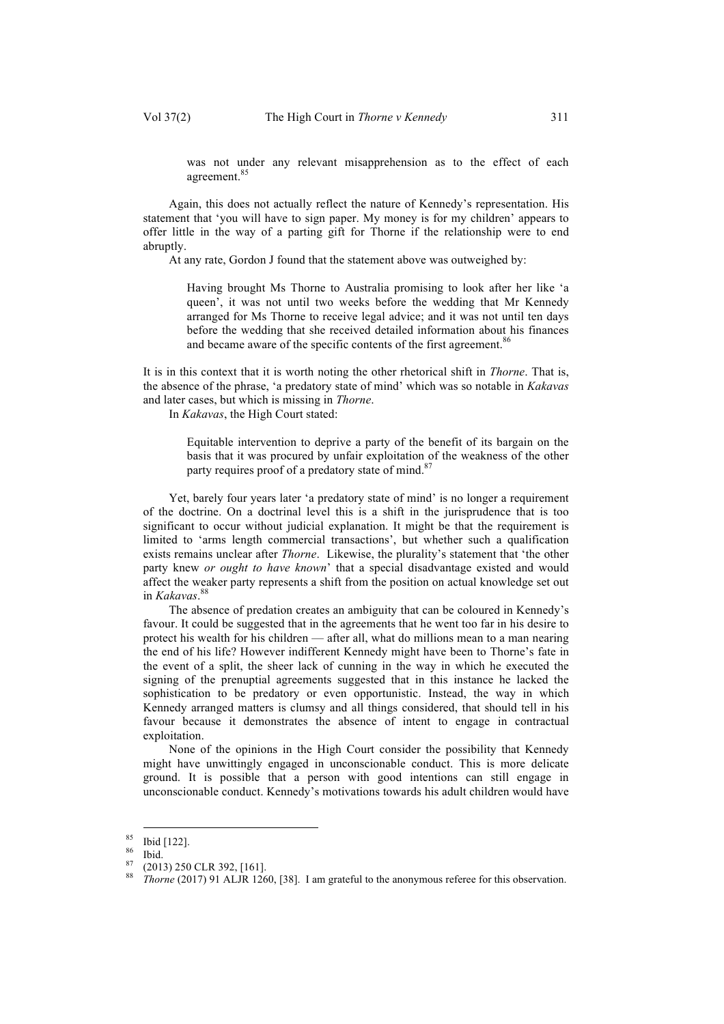was not under any relevant misapprehension as to the effect of each agreement.<sup>85</sup>

Again, this does not actually reflect the nature of Kennedy's representation. His statement that 'you will have to sign paper. My money is for my children' appears to offer little in the way of a parting gift for Thorne if the relationship were to end abruptly.

At any rate, Gordon J found that the statement above was outweighed by:

Having brought Ms Thorne to Australia promising to look after her like 'a queen', it was not until two weeks before the wedding that Mr Kennedy arranged for Ms Thorne to receive legal advice; and it was not until ten days before the wedding that she received detailed information about his finances and became aware of the specific contents of the first agreement.<sup>86</sup>

It is in this context that it is worth noting the other rhetorical shift in *Thorne*. That is, the absence of the phrase, 'a predatory state of mind' which was so notable in *Kakavas* and later cases, but which is missing in *Thorne*.

In *Kakavas*, the High Court stated:

Equitable intervention to deprive a party of the benefit of its bargain on the basis that it was procured by unfair exploitation of the weakness of the other party requires proof of a predatory state of mind.<sup>87</sup>

Yet, barely four years later 'a predatory state of mind' is no longer a requirement of the doctrine. On a doctrinal level this is a shift in the jurisprudence that is too significant to occur without judicial explanation. It might be that the requirement is limited to 'arms length commercial transactions', but whether such a qualification exists remains unclear after *Thorne*. Likewise, the plurality's statement that 'the other party knew *or ought to have known*' that a special disadvantage existed and would affect the weaker party represents a shift from the position on actual knowledge set out in *Kakavas*. 88

The absence of predation creates an ambiguity that can be coloured in Kennedy's favour. It could be suggested that in the agreements that he went too far in his desire to protect his wealth for his children — after all, what do millions mean to a man nearing the end of his life? However indifferent Kennedy might have been to Thorne's fate in the event of a split, the sheer lack of cunning in the way in which he executed the signing of the prenuptial agreements suggested that in this instance he lacked the sophistication to be predatory or even opportunistic. Instead, the way in which Kennedy arranged matters is clumsy and all things considered, that should tell in his favour because it demonstrates the absence of intent to engage in contractual exploitation.

None of the opinions in the High Court consider the possibility that Kennedy might have unwittingly engaged in unconscionable conduct. This is more delicate ground. It is possible that a person with good intentions can still engage in unconscionable conduct. Kennedy's motivations towards his adult children would have

<sup>&</sup>lt;sup>85</sup> Ibid [122].<br><sup>86</sup> Ibid. *(2013) 250 CLR 392,* [161].<br><sup>87</sup> *(2013) 250 CLR 392,* [161]. *Bangrateful to the anonymous referee for this observation.*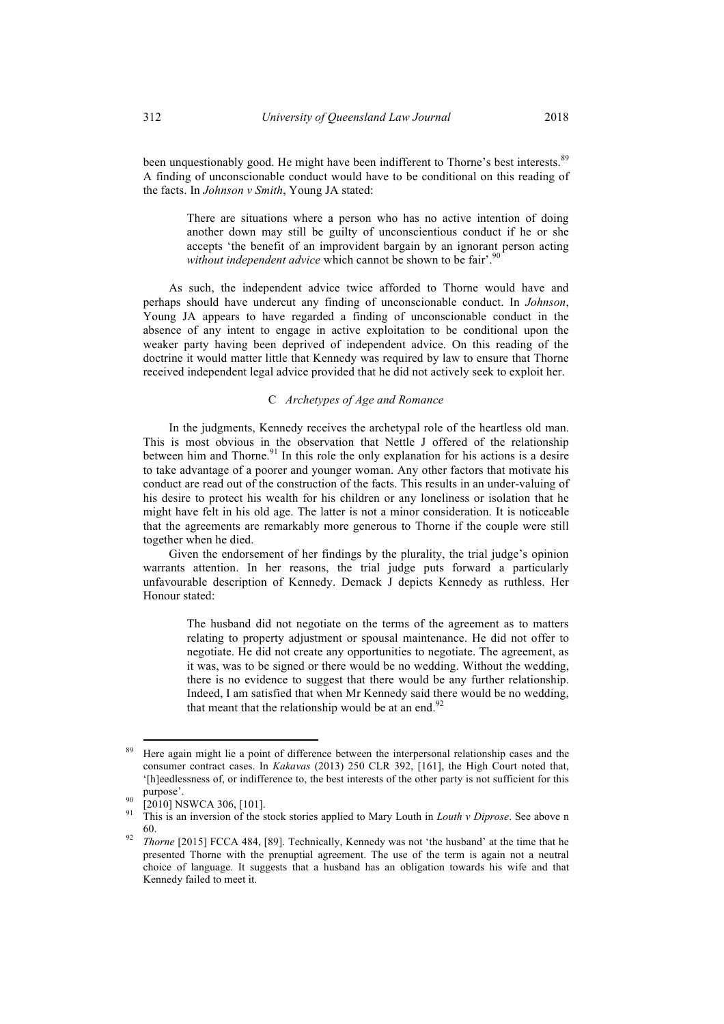the facts. In *Johnson v Smith*, Young JA stated:

There are situations where a person who has no active intention of doing another down may still be guilty of unconscientious conduct if he or she accepts 'the benefit of an improvident bargain by an ignorant person acting without independent advice which cannot be shown to be fair'.<sup>90</sup>

As such, the independent advice twice afforded to Thorne would have and perhaps should have undercut any finding of unconscionable conduct. In *Johnson*, Young JA appears to have regarded a finding of unconscionable conduct in the absence of any intent to engage in active exploitation to be conditional upon the weaker party having been deprived of independent advice. On this reading of the doctrine it would matter little that Kennedy was required by law to ensure that Thorne received independent legal advice provided that he did not actively seek to exploit her.

# C *Archetypes of Age and Romance*

In the judgments, Kennedy receives the archetypal role of the heartless old man. This is most obvious in the observation that Nettle J offered of the relationship between him and Thorne.<sup>91</sup> In this role the only explanation for his actions is a desire to take advantage of a poorer and younger woman. Any other factors that motivate his conduct are read out of the construction of the facts. This results in an under-valuing of his desire to protect his wealth for his children or any loneliness or isolation that he might have felt in his old age. The latter is not a minor consideration. It is noticeable that the agreements are remarkably more generous to Thorne if the couple were still together when he died.

Given the endorsement of her findings by the plurality, the trial judge's opinion warrants attention. In her reasons, the trial judge puts forward a particularly unfavourable description of Kennedy. Demack J depicts Kennedy as ruthless. Her Honour stated:

> The husband did not negotiate on the terms of the agreement as to matters relating to property adjustment or spousal maintenance. He did not offer to negotiate. He did not create any opportunities to negotiate. The agreement, as it was, was to be signed or there would be no wedding. Without the wedding, there is no evidence to suggest that there would be any further relationship. Indeed, I am satisfied that when Mr Kennedy said there would be no wedding, that meant that the relationship would be at an end.<sup>92</sup>

<sup>&</sup>lt;sup>89</sup> Here again might lie a point of difference between the interpersonal relationship cases and the consumer contract cases. In *Kakavas* (2013) 250 CLR 392, [161], the High Court noted that, '[h]eedlessness of, or indifference to, the best interests of the other party is not sufficient for this

purpose'.<br><sup>90</sup> [2010] NSWCA 306, [101].<br><sup>91</sup> This is an inversion of the stock stories applied to Mary Louth in *Louth v Diprose*. See above n

<sup>&</sup>lt;sup>92</sup> *Thorne* [2015] FCCA 484, [89]. Technically, Kennedy was not 'the husband' at the time that he presented Thorne with the prenuptial agreement. The use of the term is again not a neutral choice of language. It suggests that a husband has an obligation towards his wife and that Kennedy failed to meet it.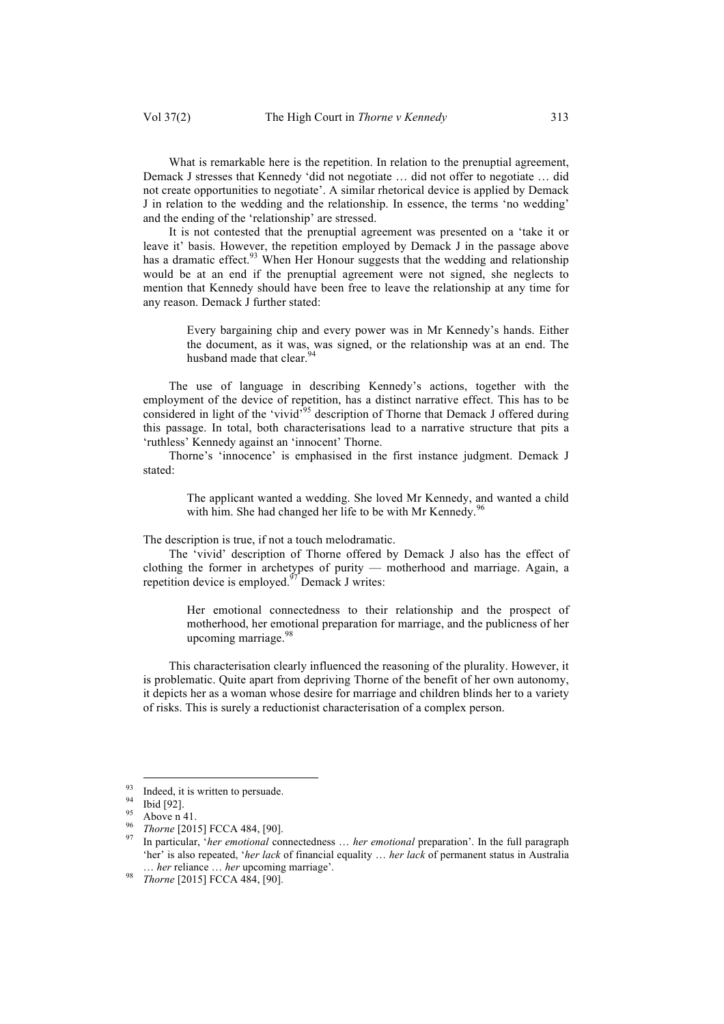What is remarkable here is the repetition. In relation to the prenuptial agreement, Demack J stresses that Kennedy 'did not negotiate … did not offer to negotiate … did not create opportunities to negotiate'. A similar rhetorical device is applied by Demack J in relation to the wedding and the relationship. In essence, the terms 'no wedding' and the ending of the 'relationship' are stressed.

It is not contested that the prenuptial agreement was presented on a 'take it or leave it' basis. However, the repetition employed by Demack J in the passage above has a dramatic effect.<sup>93</sup> When Her Honour suggests that the wedding and relationship would be at an end if the prenuptial agreement were not signed, she neglects to mention that Kennedy should have been free to leave the relationship at any time for any reason. Demack J further stated:

> Every bargaining chip and every power was in Mr Kennedy's hands. Either the document, as it was, was signed, or the relationship was at an end. The husband made that clear.<sup>9</sup>

The use of language in describing Kennedy's actions, together with the employment of the device of repetition, has a distinct narrative effect. This has to be considered in light of the 'vivid'<sup>95</sup> description of Thorne that Demack J offered during this passage. In total, both characterisations lead to a narrative structure that pits a 'ruthless' Kennedy against an 'innocent' Thorne.

Thorne's 'innocence' is emphasised in the first instance judgment. Demack J stated:

> The applicant wanted a wedding. She loved Mr Kennedy, and wanted a child with him. She had changed her life to be with Mr Kennedy.<sup>9</sup>

The description is true, if not a touch melodramatic.

The 'vivid' description of Thorne offered by Demack J also has the effect of clothing the former in archetypes of purity — motherhood and marriage. Again, a repetition device is employed. $97$  Demack J writes:

> Her emotional connectedness to their relationship and the prospect of motherhood, her emotional preparation for marriage, and the publicness of her upcoming marriage.<sup>98</sup>

This characterisation clearly influenced the reasoning of the plurality. However, it is problematic. Quite apart from depriving Thorne of the benefit of her own autonomy, it depicts her as a woman whose desire for marriage and children blinds her to a variety of risks. This is surely a reductionist characterisation of a complex person.

<sup>&</sup>lt;sup>93</sup> Indeed, it is written to persuade.<br><sup>94</sup> Ibid [92].<br><sup>95</sup> Above n 41.<br><sup>96</sup> *Thorne* [2015] FCCA 484, [90].<br><sup>97</sup> In particular, '*her emotional* connectedness ... *her emotional* preparation'. In the full paragraph 'her' is also repeated, '*her lack* of financial equality … *her lack* of permanent status in Australia … *her* reliance … *her* upcoming marriage'. <sup>98</sup> *Thorne* [2015] FCCA 484, [90].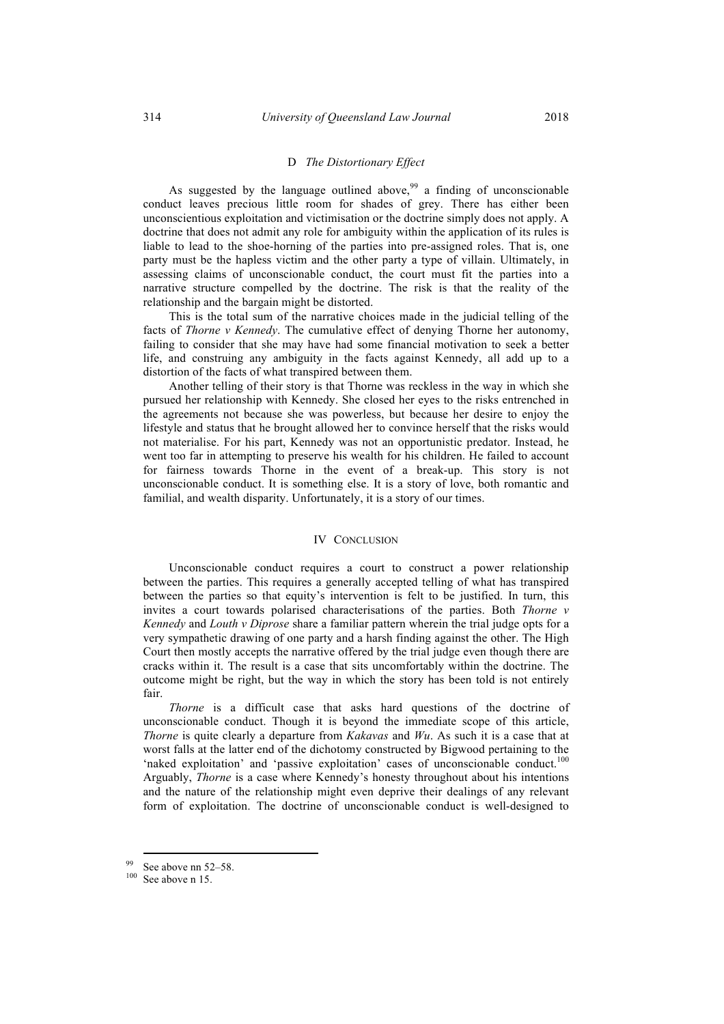#### D *The Distortionary Effect*

As suggested by the language outlined above,<sup>99</sup> a finding of unconscionable conduct leaves precious little room for shades of grey. There has either been unconscientious exploitation and victimisation or the doctrine simply does not apply. A doctrine that does not admit any role for ambiguity within the application of its rules is liable to lead to the shoe-horning of the parties into pre-assigned roles. That is, one party must be the hapless victim and the other party a type of villain. Ultimately, in assessing claims of unconscionable conduct, the court must fit the parties into a narrative structure compelled by the doctrine. The risk is that the reality of the relationship and the bargain might be distorted.

This is the total sum of the narrative choices made in the judicial telling of the facts of *Thorne v Kennedy*. The cumulative effect of denying Thorne her autonomy, failing to consider that she may have had some financial motivation to seek a better life, and construing any ambiguity in the facts against Kennedy, all add up to a distortion of the facts of what transpired between them.

Another telling of their story is that Thorne was reckless in the way in which she pursued her relationship with Kennedy. She closed her eyes to the risks entrenched in the agreements not because she was powerless, but because her desire to enjoy the lifestyle and status that he brought allowed her to convince herself that the risks would not materialise. For his part, Kennedy was not an opportunistic predator. Instead, he went too far in attempting to preserve his wealth for his children. He failed to account for fairness towards Thorne in the event of a break-up. This story is not unconscionable conduct. It is something else. It is a story of love, both romantic and familial, and wealth disparity. Unfortunately, it is a story of our times.

## IV CONCLUSION

Unconscionable conduct requires a court to construct a power relationship between the parties. This requires a generally accepted telling of what has transpired between the parties so that equity's intervention is felt to be justified. In turn, this invites a court towards polarised characterisations of the parties. Both *Thorne v Kennedy* and *Louth v Diprose* share a familiar pattern wherein the trial judge opts for a very sympathetic drawing of one party and a harsh finding against the other. The High Court then mostly accepts the narrative offered by the trial judge even though there are cracks within it. The result is a case that sits uncomfortably within the doctrine. The outcome might be right, but the way in which the story has been told is not entirely fair.

*Thorne* is a difficult case that asks hard questions of the doctrine of unconscionable conduct. Though it is beyond the immediate scope of this article, *Thorne* is quite clearly a departure from *Kakavas* and *Wu*. As such it is a case that at worst falls at the latter end of the dichotomy constructed by Bigwood pertaining to the 'naked exploitation' and 'passive exploitation' cases of unconscionable conduct.<sup>100</sup> Arguably, *Thorne* is a case where Kennedy's honesty throughout about his intentions and the nature of the relationship might even deprive their dealings of any relevant form of exploitation. The doctrine of unconscionable conduct is well-designed to

 $^{99}$  See above nn 52–58.<br><sup>100</sup> See above n 15.